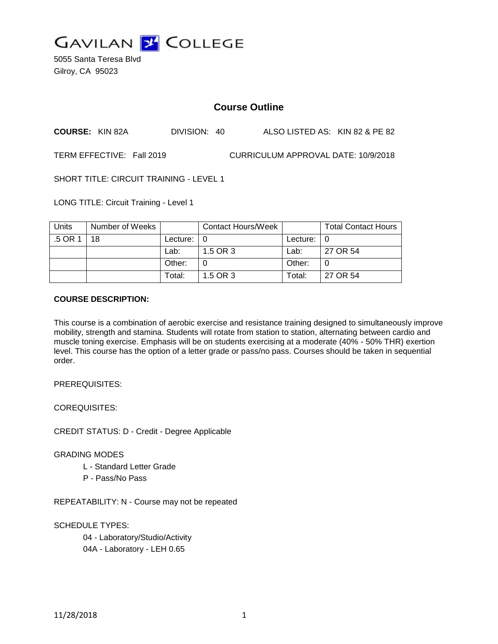

5055 Santa Teresa Blvd Gilroy, CA 95023

# **Course Outline**

**COURSE:** KIN 82A DIVISION: 40 ALSO LISTED AS: KIN 82 & PE 82

TERM EFFECTIVE: Fall 2019 CURRICULUM APPROVAL DATE: 10/9/2018

SHORT TITLE: CIRCUIT TRAINING - LEVEL 1

LONG TITLE: Circuit Training - Level 1

| Units | Number of Weeks |                            | <b>Contact Hours/Week</b> |               | <b>Total Contact Hours</b> |
|-------|-----------------|----------------------------|---------------------------|---------------|----------------------------|
| .5 OR | 18              | Lecture: $\vert 0 \rangle$ |                           | Lecture: $ 0$ |                            |
|       |                 | Lab:                       | 1.5 OR 3                  | Lab:          | 27 OR 54                   |
|       |                 | Other:                     |                           | Other:        |                            |
|       |                 | Total:                     | 1.5 OR 3                  | Total:        | 27 OR 54                   |

#### **COURSE DESCRIPTION:**

This course is a combination of aerobic exercise and resistance training designed to simultaneously improve mobility, strength and stamina. Students will rotate from station to station, alternating between cardio and muscle toning exercise. Emphasis will be on students exercising at a moderate (40% - 50% THR) exertion level. This course has the option of a letter grade or pass/no pass. Courses should be taken in sequential order.

PREREQUISITES:

COREQUISITES:

CREDIT STATUS: D - Credit - Degree Applicable

GRADING MODES

- L Standard Letter Grade
- P Pass/No Pass

REPEATABILITY: N - Course may not be repeated

SCHEDULE TYPES:

04 - Laboratory/Studio/Activity 04A - Laboratory - LEH 0.65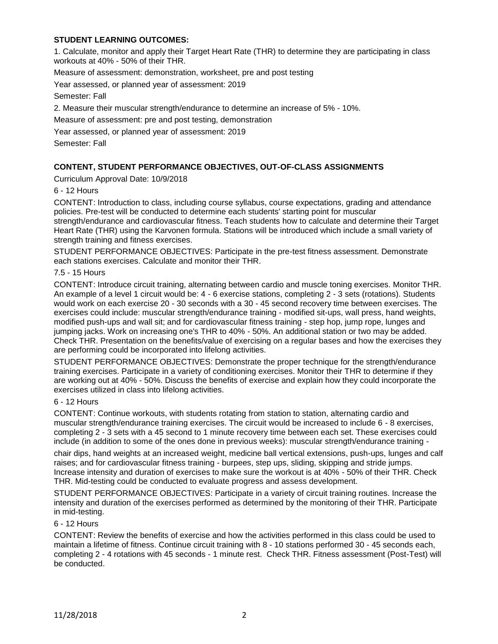# **STUDENT LEARNING OUTCOMES:**

1. Calculate, monitor and apply their Target Heart Rate (THR) to determine they are participating in class workouts at 40% - 50% of their THR.

Measure of assessment: demonstration, worksheet, pre and post testing

Year assessed, or planned year of assessment: 2019

Semester: Fall

2. Measure their muscular strength/endurance to determine an increase of 5% - 10%.

Measure of assessment: pre and post testing, demonstration

Year assessed, or planned year of assessment: 2019

Semester: Fall

## **CONTENT, STUDENT PERFORMANCE OBJECTIVES, OUT-OF-CLASS ASSIGNMENTS**

Curriculum Approval Date: 10/9/2018

6 - 12 Hours

CONTENT: Introduction to class, including course syllabus, course expectations, grading and attendance policies. Pre-test will be conducted to determine each students' starting point for muscular strength/endurance and cardiovascular fitness. Teach students how to calculate and determine their Target Heart Rate (THR) using the Karvonen formula. Stations will be introduced which include a small variety of strength training and fitness exercises.

STUDENT PERFORMANCE OBJECTIVES: Participate in the pre-test fitness assessment. Demonstrate each stations exercises. Calculate and monitor their THR.

#### 7.5 - 15 Hours

CONTENT: Introduce circuit training, alternating between cardio and muscle toning exercises. Monitor THR. An example of a level 1 circuit would be: 4 - 6 exercise stations, completing 2 - 3 sets (rotations). Students would work on each exercise 20 - 30 seconds with a 30 - 45 second recovery time between exercises. The exercises could include: muscular strength/endurance training - modified sit-ups, wall press, hand weights, modified push-ups and wall sit; and for cardiovascular fitness training - step hop, jump rope, lunges and jumping jacks. Work on increasing one's THR to 40% - 50%. An additional station or two may be added. Check THR. Presentation on the benefits/value of exercising on a regular bases and how the exercises they are performing could be incorporated into lifelong activities.

STUDENT PERFORMANCE OBJECTIVES: Demonstrate the proper technique for the strength/endurance training exercises. Participate in a variety of conditioning exercises. Monitor their THR to determine if they are working out at 40% - 50%. Discuss the benefits of exercise and explain how they could incorporate the exercises utilized in class into lifelong activities.

#### 6 - 12 Hours

CONTENT: Continue workouts, with students rotating from station to station, alternating cardio and muscular strength/endurance training exercises. The circuit would be increased to include 6 - 8 exercises, completing 2 - 3 sets with a 45 second to 1 minute recovery time between each set. These exercises could include (in addition to some of the ones done in previous weeks): muscular strength/endurance training -

chair dips, hand weights at an increased weight, medicine ball vertical extensions, push-ups, lunges and calf raises; and for cardiovascular fitness training - burpees, step ups, sliding, skipping and stride jumps. Increase intensity and duration of exercises to make sure the workout is at 40% - 50% of their THR. Check THR. Mid-testing could be conducted to evaluate progress and assess development.

STUDENT PERFORMANCE OBJECTIVES: Participate in a variety of circuit training routines. Increase the intensity and duration of the exercises performed as determined by the monitoring of their THR. Participate in mid-testing.

#### 6 - 12 Hours

CONTENT: Review the benefits of exercise and how the activities performed in this class could be used to maintain a lifetime of fitness. Continue circuit training with 8 - 10 stations performed 30 - 45 seconds each, completing 2 - 4 rotations with 45 seconds - 1 minute rest. Check THR. Fitness assessment (Post-Test) will be conducted.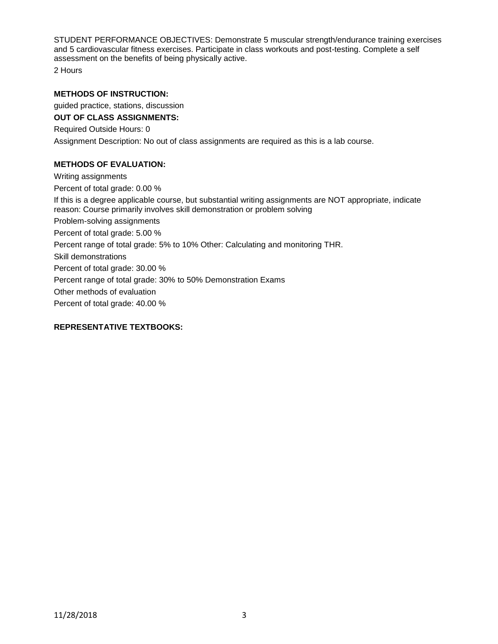STUDENT PERFORMANCE OBJECTIVES: Demonstrate 5 muscular strength/endurance training exercises and 5 cardiovascular fitness exercises. Participate in class workouts and post-testing. Complete a self assessment on the benefits of being physically active.

2 Hours

#### **METHODS OF INSTRUCTION:**

guided practice, stations, discussion

**OUT OF CLASS ASSIGNMENTS:** Required Outside Hours: 0 Assignment Description: No out of class assignments are required as this is a lab course.

## **METHODS OF EVALUATION:**

Writing assignments Percent of total grade: 0.00 % If this is a degree applicable course, but substantial writing assignments are NOT appropriate, indicate reason: Course primarily involves skill demonstration or problem solving Problem-solving assignments Percent of total grade: 5.00 % Percent range of total grade: 5% to 10% Other: Calculating and monitoring THR. Skill demonstrations Percent of total grade: 30.00 % Percent range of total grade: 30% to 50% Demonstration Exams Other methods of evaluation Percent of total grade: 40.00 %

## **REPRESENTATIVE TEXTBOOKS:**